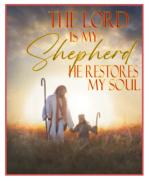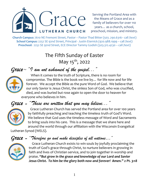

Serving the Portland Area with the Means of Grace and as a family of believers for over 110 years… as a church, school, preschool, mission, and ministry.

**Church Campus:** 7610 NE Fremont Street, Pastor – Pastor Thad Bitter (503 .290.6316– call /text) **School Campus:** 2252 SE 92nd Street, Principal - Justin Eternick (920.988.1999 – call /text) **Preschool:** 2252 SE 92nd Street, ECE Director Tammy Godish (503.312.4230 – call /text)

# The Fifth Sunday of Easter May  $15^{th}$ , 2022

# *Grace* ~ *"I am not ashamed of the gospel..."*



 When it comes to the truth of Scripture, there is no room for compromise. The Bible is the book we live by… for life now and for life forever. We accept the Bible as the pure Word of God. We believe that our only Savior is Jesus Christ, the sinless Son of God, who was crucified, died, and was buried but rose again to open the door to heaven for everyone who believes in him.

## *Grace* ~ *"These are written that you may believe..."*



 Grace Lutheran Church has served the Portland area for over 100 years by faithfully preaching and teaching the timeless truth of God's Word. We believe that God uses the timeless message of Word and Sacraments to bring souls into his care. This is a message that we share here and around the world through our affiliation with the Wisconsin Evangelical

Lutheran Synod (WELS).

## *Grace* ~ *"Therefore go and make disciples of all nations…"*



 Grace Lutheran Church exists to win souls by joyfully proclaiming the truth of God's grace through Christ, to nurture believers in growing in faith and lives of Christian service, and to join together in worship and praise. *"But grow in the grace and knowledge of our Lord and Savior Jesus Christ. To him be the glory both now and forever! Amen." 2 Pt. 3:18*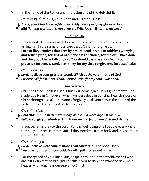#### **INVOCATION**

- M: In the name of the Father and of the Son and of the Holy Spirit.
- **C:** CW21 #573 (1): "Jesus, Your Blood and Righteousness"

*Jesus, your blood and righteousness My beauty are, my glorious dress; Mid flaming worlds, in these arrayed, With joy shall I lift up my head.*

### **CONFESSION**

- M: Dear friends, let us approach God with a true heart and confess our sins, asking him in the name of our Lord Jesus Christ to forgive us.
- **C: Lord of life, I confess that I am by nature dead in sin. For faithless worrying and selfish pride, for sins of habit and sins of choice, for the evil I have done and the good I have failed to do, You should cast me away from your presence forever. O Lord, I am sorry for my sins. Forgive me, for Jesus' sake.**
- **C:** CW21 #573 (3)

*Lord, I believe your precious blood, Which at the very throne of God Forever will for sinners plead, For me --e'en for my soul --was shed.*

### **ABSOLUTION**

- M: Christ has died. Christ is risen. Christ will come again. In his great mercy, God made us alive in Christ even when we were dead in our sins. Hear the word of Christ through his called servant: I forgive you all your sins in the name of the Father and of the Son and of the Holy Spirit.
- **C:** CW21 #573 (2):

*Bold shall I stand in that great day Who can a word against me say? Fully through you absolved I am From sin and fear, from guilt and shame.*

- M: In peace, let us pray to the Lord. For the well-being of all people everywhere, that they may receive from you all they need to sustain body and life, hear our prayer, O Lord.
- **C:** CW21 #573 (4):

*Lord, I believe were sinners more Than sands upon the ocean shore, You have for all a ransom paid, For all a full atonement made.*

M: For the spread of your life-giving gospel throughout the world, that all who are lost in sin may be brought to faith in you so they too may one day live in heaven with you, hear our prayer, O Christ.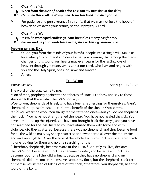**C:** CW21 #573 (5):



*When from the dust of death I rise To claim my mansion in the skies, E'en then this shall be all my plea: Jesus has lived and died for me.*

M: For patience and perseverance in this life, that we may not lose the hope of heaven as we await your return, hear our prayer, O Lord.



*Jesus, be worshiped endlessly! Your boundless mercy has for me, For me and all your hands have made, An everlasting ransom paid.*

### **PRAYER OF THE DAY**

- M: O God, you form the minds of your faithful people into a single will. Make us love what you command and desire what you promise, that among the many changes of this world, our hearts may ever yearn for the lasting joys of heaven; through your Son, Jesus Christ our Lord, who lives and reigns with you and the Holy Spirit, one God, now and forever.
- **C: Amen.**

### **THE WORD**

**FIRST LESSON** Ezekiel 34:1-16 *(EHV)*

The word of the LORD came to me.

**<sup>2</sup>** Son of man, prophesy against the shepherds of Israel. Prophesy and say to those shepherds that this is what the LORD God says.

Woe to you, shepherds of Israel, who have been shepherding for themselves. Aren't shepherds supposed to shepherd for the benefit of the sheep? **<sup>3</sup>** You eat the fat.[\[a\]](https://www.biblegateway.com/passage/?search=Ezekiel+34%3A1-16&version=EHV#fen-EHV-21312a) You wear the wool. You slaughter the fattened ones—but you do not shepherd the flock. **<sup>4</sup>** You have not strengthened the weak. You have not healed the sick. You have not bound up the injured. You have not brought back the strays, and you have not searched for the lost. Instead you have abused them with force and with violence. **<sup>5</sup>** So they scattered, because there was no shepherd, and they became food for all the wild animals. My sheep scattered and **<sup>6</sup>**wandered all over the mountains and on every high hill. Over the face of the whole earth, my flock was scattered, with no one looking for them and no one searching for them.

**<sup>7</sup>** Therefore, shepherds, hear the word of the LORD. **<sup>8</sup>**As surely as I live, declares the LORD God, because my flock has become plunder, and because my flock has become food for all the wild animals, because they have no shepherd and my shepherds did not concern themselves about my flock, but the shepherds took care of themselves instead of taking care of my flock, **<sup>9</sup>** therefore, you shepherds, hear the word of the LORD.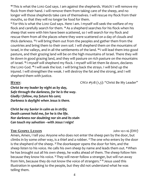**<sup>10</sup>** This is what the LORD God says. I am against the shepherds. Watch! I will remove my flock from their hand. I will remove them from taking care of the sheep, and no longer will those shepherds take care of themselves. I will rescue my flock from their mouths, so that they will no longer be food for them.

**<sup>11</sup>** For this is what the LORD God says. Here I am. I myself will seek the welfare of my flock and carefully search for them. **<sup>12</sup>**As a shepherd searches for his flock when his sheep that were with him have been scattered, so I will search for my flock and rescue them from all the places where they were scattered on a day of clouds and thick darkness. **<sup>13</sup>** I will bring them out from the peoples and gather them from the countries and bring them to their own soil. I will shepherd them on the mountains of Israel, in the valleys, and in all the settlements of the land. **<sup>14</sup>** I will lead them into good pasture, and their grazing land will be on the high mountains of Israel. There they will lie down in good grazing land, and they will pasture on rich pasture on the mountains of Israel. **<sup>15</sup>** I myself will shepherd my flock. I myself will let them lie down, declares the LORD God. **<sup>16</sup>** I will seek the lost. I will bring back the strays. I will bind up the injured. I will strengthen the weak. I will destroy the fat and the strong, and I will shepherd them with justice.

*Christ be my leader by night as by day, Safe through the darkness, for he is the way. Gladly I follow, my future his care; Darkness is daylight when Jesus is there.* 

*Christ be my Savior in calm as in strife; Death cannot hold me, for he is the life. Nor darkness nor doubting nor sin and its stain Can touch my salvation --with Jesus I reign!*

### **THE GOSPEL LESSON** John 10:1-16 *(EHV)*

Amen, Amen, I tell you: Anyone who does not enter the sheep pen by the door, but climbs in by some other way, is a thief and a robber. **<sup>2</sup>** The one who enters by the door is the shepherd of the sheep. **<sup>3</sup>** The doorkeeper opens the door for him, and the sheep listen to his voice. He calls his own sheep by name and leads them out. **<sup>4</sup>**When he has brought out all his own sheep, he walks ahead of them. The sheep follow him because they know his voice. **<sup>5</sup>** They will never follow a stranger, but will run away from him, because they do not know the voice of strangers." **<sup>6</sup>** Jesus used this illustration in speaking to the people, but they did not understand what he was telling them.

**HYMN**:CW21 #518 (1,3): "Christ Be My Leader"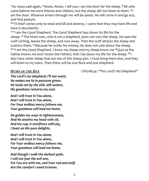**<sup>7</sup>** So Jesus said again, "Amen, Amen, I tell you: I am the door for the sheep. **<sup>8</sup>**All who came before mewere thieves and robbers, but the sheep did not listen to them. **<sup>9</sup>** I am the door. Whoever enters through me will be saved. He will come in and go out, and find pasture.

**<sup>10</sup>** "A thief comes only to steal and kill and destroy. I came that they may have life and have it abundantly.

**<sup>11</sup>** "I am the Good Shepherd. The Good Shepherd lays down his life for the sheep. **<sup>12</sup>** The hired man, who is not a shepherd, does not own the sheep. He sees the wolf coming, leaves the sheep, and runs away. Then the wolf attacks the sheep and scatters them. **<sup>13</sup>** Because he works for money, he does not care about the sheep. **<sup>14</sup>** "I am the Good Shepherd. I know my sheep and my sheep know me **<sup>15</sup>** (just as the Father knows me and I know the Father). And I lay down my life for the sheep. **<sup>16</sup>** I also have other sheep that are not of this sheep pen. I must bring them also, and they will listen to my voice. Then there will be one flock and one shepherd.

*The Lord's my shepherd, I'll not want; He makes me lie in pastures green. He leads me by the still, still waters, His goodness restores my soul.*

*And I will trust in You alone, And I will trust in You alone, For Your endless mercy follows me, Your goodness will lead me home.*

*He guides my ways in righteousness, And He anoints my head with oil, And my cup, it overflows with joy, I feast on His pure delights.*

*And I will trust in You alone, And I will trust in You alone, For Your endless mercy follows me, Your goodness will lead me home.*

*And though I walk the darkest path, I will not fear the evil one, For You are with me, and Your rod and staff Are the comfort I need to know.*

**HYMN OF THE DAY** CW21#554: "The Lord's My Shepherd"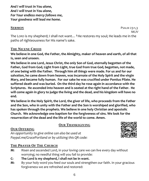*And I will trust in You alone, And I will trust in You alone, For Your endless mercy follows me, Your goodness will lead me home.*

**SERMON** PSALM 23:1,3 *NKJV*

The LORD is my shepherd; I shall not want…**<sup>3</sup>**He restores my soul; He leads me in the paths of righteousness for His name's sake.

#### **THE NICENE CREED**

**We believe in one God, the Father, the Almighty, maker of heaven and earth, of all that is, seen and unseen.** 

**We believe in one Lord, Jesus Christ, the only Son of God, eternally begotten of the Father, God from God, Light from Light, true God from true God, begotten, not made, of one being with the Father. Through him all things were made. For us and for our salvation, he came down from heaven, was incarnate of the Holy Spirit and the virgin Mary, and became fully human. For our sake he was crucified under Pontius Pilate. He suffered death and was buried. On the third day he rose again in accordance with the Scriptures. He ascended into heaven and is seated at the right hand of the Father. He will come again in glory to judge the living and the dead, and his kingdom will have no end.** 

**We believe in the Holy Spirit, the Lord, the giver of life, who proceeds from the Father and the Son, who in unity with the Father and the Son is worshiped and glorified, who has spoken through the prophets. We believe in one holy Christian and apostolic Church. We acknowledge one baptism for the forgiveness of sins. We look for the resurrection of the dead and the life of the world to come. Amen.**

#### **OUR THANKSGIVING**

#### **OUR OFFERING**

*An opportunity to give online can also be used at Paypal.me/GracePortland or by utilizing this QR code:*

### **THE PRAYER OF THE CHURCH**

- **M:** Risen and ascended Lord, in your loving care we can live every day without worrying; no needful thing will you fail to provide:
- **C: The Lord is my shepherd, I shall not be in want.**
- **M:** By your holy word you feed our souls and strengthen our faith. In your gracious forgiveness we are refreshed and restored: